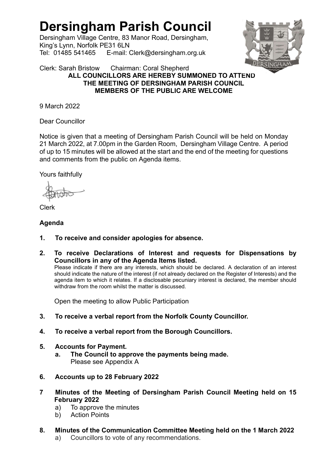# Dersingham Parish Council

Dersingham Village Centre, 83 Manor Road, Dersingham, King's Lynn, Norfolk PE31 6LN Tel: 01485 541465 E-mail: Clerk@dersingham.org.uk



#### Clerk: Sarah Bristow Chairman: Coral Shepherd ALL COUNCILLORS ARE HEREBY SUMMONED TO ATTEND THE MEETING OF DERSINGHAM PARISH COUNCIL MEMBERS OF THE PUBLIC ARE WELCOME

9 March 2022

Dear Councillor

Notice is given that a meeting of Dersingham Parish Council will be held on Monday 21 March 2022, at 7.00pm in the Garden Room, Dersingham Village Centre. A period of up to 15 minutes will be allowed at the start and the end of the meeting for questions and comments from the public on Agenda items.

Yours faithfully

Clerk

## Agenda

- 1. To receive and consider apologies for absence.
- 2. To receive Declarations of Interest and requests for Dispensations by Councillors in any of the Agenda Items listed.

Please indicate if there are any interests, which should be declared. A declaration of an interest should indicate the nature of the interest (if not already declared on the Register of Interests) and the agenda item to which it relates. If a disclosable pecuniary interest is declared, the member should withdraw from the room whilst the matter is discussed.

Open the meeting to allow Public Participation

- 3. To receive a verbal report from the Norfolk County Councillor.
- 4. To receive a verbal report from the Borough Councillors.
- 5. Accounts for Payment.
	- a. The Council to approve the payments being made. Please see Appendix A
- 6. Accounts up to 28 February 2022
- 7 Minutes of the Meeting of Dersingham Parish Council Meeting held on 15 February 2022
	- a) To approve the minutes
	- b) Action Points
- 8. Minutes of the Communication Committee Meeting held on the 1 March 2022 a) Councillors to vote of any recommendations.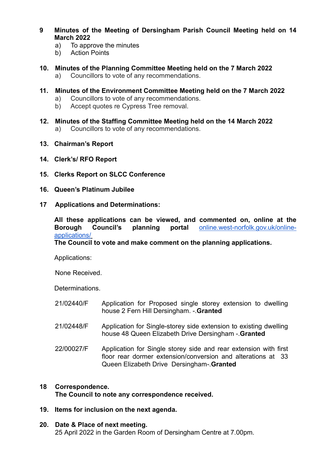- 9 Minutes of the Meeting of Dersingham Parish Council Meeting held on 14 March 2022
	- a) To approve the minutes
	- b) Action Points
- 10. Minutes of the Planning Committee Meeting held on the 7 March 2022 a) Councillors to vote of any recommendations.
- 11. Minutes of the Environment Committee Meeting held on the 7 March 2022
	- a) Councillors to vote of any recommendations.
	- b) Accept quotes re Cypress Tree removal.
- 12. Minutes of the Staffing Committee Meeting held on the 14 March 2022 a) Councillors to vote of any recommendations.
- 13. Chairman's Report
- 14. Clerk's/ RFO Report
- 15. Clerks Report on SLCC Conference
- 16. Queen's Platinum Jubilee
- 17 Applications and Determinations:

 All these applications can be viewed, and commented on, online at the Borough Council's planning portal online.west-norfolk.gov.uk/onlineapplications/

The Council to vote and make comment on the planning applications.

Applications:

None Received.

Determinations.

| 21/02440/F | Application for Proposed single storey extension to dwelling<br>house 2 Fern Hill Dersingham. - Granted                  |
|------------|--------------------------------------------------------------------------------------------------------------------------|
| 21/02448/F | Application for Single-storey side extension to existing dwelling<br>house 48 Queen Elizabeth Drive Dersingham - Granted |

22/00027/F Application for Single storey side and rear extension with first floor rear dormer extension/conversion and alterations at 33 Queen Elizabeth Drive Dersingham-.Granted

# 18 Correspondence.

The Council to note any correspondence received.

19. Items for inclusion on the next agenda.

#### 20. Date & Place of next meeting.

25 April 2022 in the Garden Room of Dersingham Centre at 7.00pm.